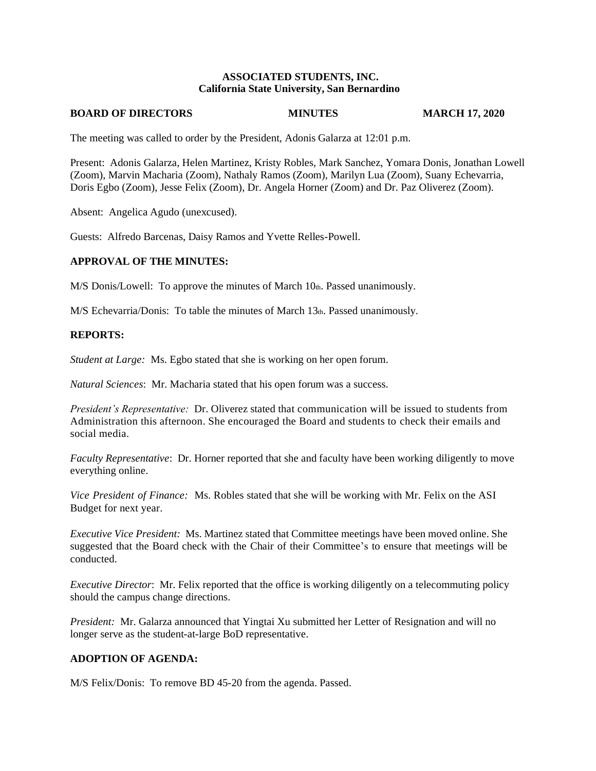### **ASSOCIATED STUDENTS, INC. California State University, San Bernardino**

#### **BOARD OF DIRECTORS MINUTES MARCH 17, 2020**

The meeting was called to order by the President, Adonis Galarza at 12:01 p.m.

Present: Adonis Galarza, Helen Martinez, Kristy Robles, Mark Sanchez, Yomara Donis, Jonathan Lowell (Zoom), Marvin Macharia (Zoom), Nathaly Ramos (Zoom), Marilyn Lua (Zoom), Suany Echevarria, Doris Egbo (Zoom), Jesse Felix (Zoom), Dr. Angela Horner (Zoom) and Dr. Paz Oliverez (Zoom).

Absent: Angelica Agudo (unexcused).

Guests: Alfredo Barcenas, Daisy Ramos and Yvette Relles-Powell.

## **APPROVAL OF THE MINUTES:**

 $M/S$  Donis/Lowell: To approve the minutes of March 10th. Passed unanimously.

M/S Echevarria/Donis: To table the minutes of March 13th. Passed unanimously.

### **REPORTS:**

*Student at Large:* Ms. Egbo stated that she is working on her open forum.

*Natural Sciences*: Mr. Macharia stated that his open forum was a success.

*President's Representative:* Dr. Oliverez stated that communication will be issued to students from Administration this afternoon. She encouraged the Board and students to check their emails and social media.

*Faculty Representative*: Dr. Horner reported that she and faculty have been working diligently to move everything online.

*Vice President of Finance:* Ms. Robles stated that she will be working with Mr. Felix on the ASI Budget for next year.

*Executive Vice President:* Ms. Martinez stated that Committee meetings have been moved online. She suggested that the Board check with the Chair of their Committee's to ensure that meetings will be conducted.

*Executive Director*: Mr. Felix reported that the office is working diligently on a telecommuting policy should the campus change directions.

*President:* Mr. Galarza announced that Yingtai Xu submitted her Letter of Resignation and will no longer serve as the student-at-large BoD representative.

## **ADOPTION OF AGENDA:**

M/S Felix/Donis: To remove BD 45-20 from the agenda. Passed.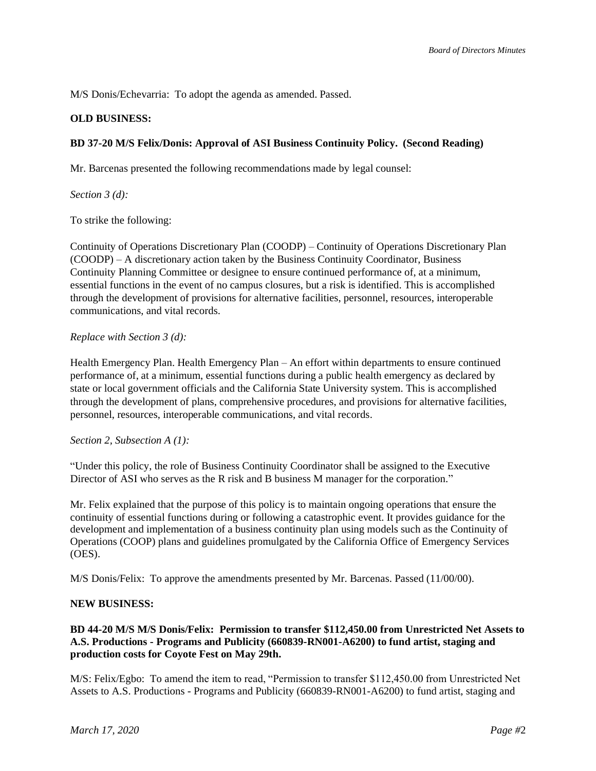M/S Donis/Echevarria: To adopt the agenda as amended. Passed.

### **OLD BUSINESS:**

### **BD 37-20 M/S Felix/Donis: Approval of ASI Business Continuity Policy. (Second Reading)**

Mr. Barcenas presented the following recommendations made by legal counsel:

*Section 3 (d):*

To strike the following:

Continuity of Operations Discretionary Plan (COODP) – Continuity of Operations Discretionary Plan (COODP) – A discretionary action taken by the Business Continuity Coordinator, Business Continuity Planning Committee or designee to ensure continued performance of, at a minimum, essential functions in the event of no campus closures, but a risk is identified. This is accomplished through the development of provisions for alternative facilities, personnel, resources, interoperable communications, and vital records.

### *Replace with Section 3 (d):*

Health Emergency Plan. Health Emergency Plan – An effort within departments to ensure continued performance of, at a minimum, essential functions during a public health emergency as declared by state or local government officials and the California State University system. This is accomplished through the development of plans, comprehensive procedures, and provisions for alternative facilities, personnel, resources, interoperable communications, and vital records.

*Section 2, Subsection A (1):* 

"Under this policy, the role of Business Continuity Coordinator shall be assigned to the Executive Director of ASI who serves as the R risk and B business M manager for the corporation."

Mr. Felix explained that the purpose of this policy is to maintain ongoing operations that ensure the continuity of essential functions during or following a catastrophic event. It provides guidance for the development and implementation of a business continuity plan using models such as the Continuity of Operations (COOP) plans and guidelines promulgated by the California Office of Emergency Services (OES).

M/S Donis/Felix: To approve the amendments presented by Mr. Barcenas. Passed (11/00/00).

## **NEW BUSINESS:**

## **BD 44-20 M/S M/S Donis/Felix: Permission to transfer \$112,450.00 from Unrestricted Net Assets to A.S. Productions - Programs and Publicity (660839-RN001-A6200) to fund artist, staging and production costs for Coyote Fest on May 29th.**

M/S: Felix/Egbo: To amend the item to read, "Permission to transfer \$112,450.00 from Unrestricted Net Assets to A.S. Productions - Programs and Publicity (660839-RN001-A6200) to fund artist, staging and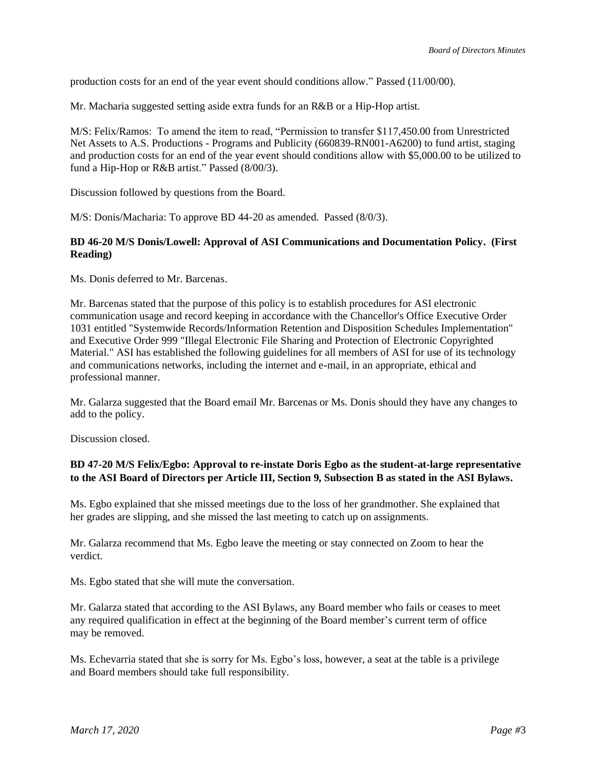production costs for an end of the year event should conditions allow." Passed (11/00/00).

Mr. Macharia suggested setting aside extra funds for an R&B or a Hip-Hop artist.

M/S: Felix/Ramos: To amend the item to read, "Permission to transfer \$117,450.00 from Unrestricted Net Assets to A.S. Productions - Programs and Publicity (660839-RN001-A6200) to fund artist, staging and production costs for an end of the year event should conditions allow with \$5,000.00 to be utilized to fund a Hip-Hop or R&B artist." Passed (8/00/3).

Discussion followed by questions from the Board.

M/S: Donis/Macharia: To approve BD 44-20 as amended. Passed (8/0/3).

## **BD 46-20 M/S Donis/Lowell: Approval of ASI Communications and Documentation Policy. (First Reading)**

Ms. Donis deferred to Mr. Barcenas.

Mr. Barcenas stated that the purpose of this policy is to establish procedures for ASI electronic communication usage and record keeping in accordance with the Chancellor's Office Executive Order 1031 entitled "Systemwide Records/Information Retention and Disposition Schedules Implementation" and Executive Order 999 "Illegal Electronic File Sharing and Protection of Electronic Copyrighted Material." ASI has established the following guidelines for all members of ASI for use of its technology and communications networks, including the internet and e-mail, in an appropriate, ethical and professional manner.

Mr. Galarza suggested that the Board email Mr. Barcenas or Ms. Donis should they have any changes to add to the policy.

Discussion closed.

## **BD 47-20 M/S Felix/Egbo: Approval to re-instate Doris Egbo as the student-at-large representative to the ASI Board of Directors per Article III, Section 9, Subsection B as stated in the ASI Bylaws.**

Ms. Egbo explained that she missed meetings due to the loss of her grandmother. She explained that her grades are slipping, and she missed the last meeting to catch up on assignments.

Mr. Galarza recommend that Ms. Egbo leave the meeting or stay connected on Zoom to hear the verdict.

Ms. Egbo stated that she will mute the conversation.

Mr. Galarza stated that according to the ASI Bylaws, any Board member who fails or ceases to meet any required qualification in effect at the beginning of the Board member's current term of office may be removed.

Ms. Echevarria stated that she is sorry for Ms. Egbo's loss, however, a seat at the table is a privilege and Board members should take full responsibility.